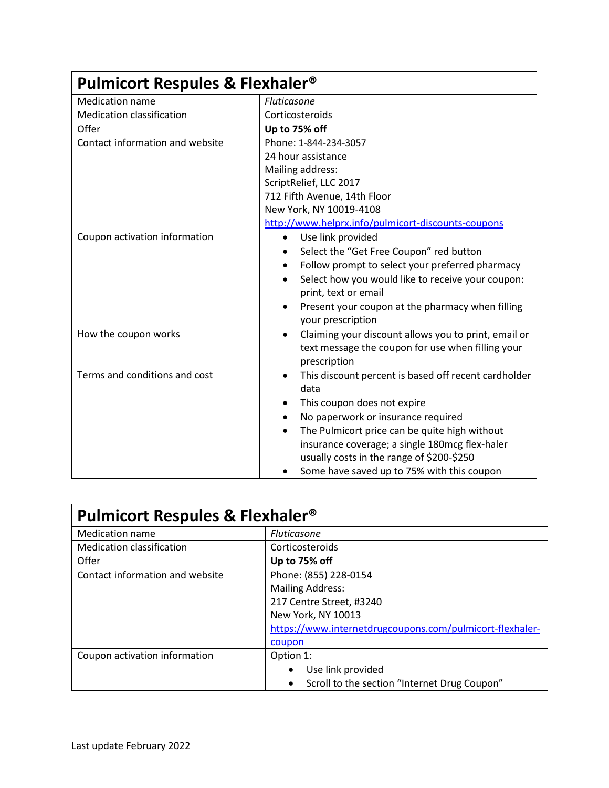| <b>Pulmicort Respules &amp; Flexhaler<sup>®</sup></b> |                                                                   |  |
|-------------------------------------------------------|-------------------------------------------------------------------|--|
| <b>Medication name</b>                                | Fluticasone                                                       |  |
| <b>Medication classification</b>                      | Corticosteroids                                                   |  |
| Offer                                                 | Up to 75% off                                                     |  |
| Contact information and website                       | Phone: 1-844-234-3057                                             |  |
|                                                       | 24 hour assistance                                                |  |
|                                                       | Mailing address:                                                  |  |
|                                                       | ScriptRelief, LLC 2017                                            |  |
|                                                       | 712 Fifth Avenue, 14th Floor                                      |  |
|                                                       | New York, NY 10019-4108                                           |  |
|                                                       | http://www.helprx.info/pulmicort-discounts-coupons                |  |
| Coupon activation information                         | Use link provided<br>$\bullet$                                    |  |
|                                                       | Select the "Get Free Coupon" red button                           |  |
|                                                       | Follow prompt to select your preferred pharmacy                   |  |
|                                                       | Select how you would like to receive your coupon:<br>٠            |  |
|                                                       | print, text or email                                              |  |
|                                                       | Present your coupon at the pharmacy when filling                  |  |
|                                                       | your prescription                                                 |  |
| How the coupon works                                  | Claiming your discount allows you to print, email or<br>$\bullet$ |  |
|                                                       | text message the coupon for use when filling your                 |  |
|                                                       | prescription                                                      |  |
| Terms and conditions and cost                         | This discount percent is based off recent cardholder<br>٠         |  |
|                                                       | data                                                              |  |
|                                                       | This coupon does not expire                                       |  |
|                                                       | No paperwork or insurance required                                |  |
|                                                       | The Pulmicort price can be quite high without                     |  |
|                                                       | insurance coverage; a single 180mcg flex-haler                    |  |
|                                                       | usually costs in the range of \$200-\$250                         |  |
|                                                       | Some have saved up to 75% with this coupon                        |  |

| <b>Pulmicort Respules &amp; Flexhaler<sup>®</sup></b> |                                                          |
|-------------------------------------------------------|----------------------------------------------------------|
| <b>Medication name</b>                                | <b>Fluticasone</b>                                       |
| <b>Medication classification</b>                      | Corticosteroids                                          |
| Offer                                                 | Up to 75% off                                            |
| Contact information and website                       | Phone: (855) 228-0154                                    |
|                                                       | <b>Mailing Address:</b>                                  |
|                                                       | 217 Centre Street, #3240                                 |
|                                                       | New York, NY 10013                                       |
|                                                       | https://www.internetdrugcoupons.com/pulmicort-flexhaler- |
|                                                       | coupon                                                   |
| Coupon activation information                         | Option 1:                                                |
|                                                       | Use link provided<br>$\bullet$                           |
|                                                       | Scroll to the section "Internet Drug Coupon"<br>٠        |